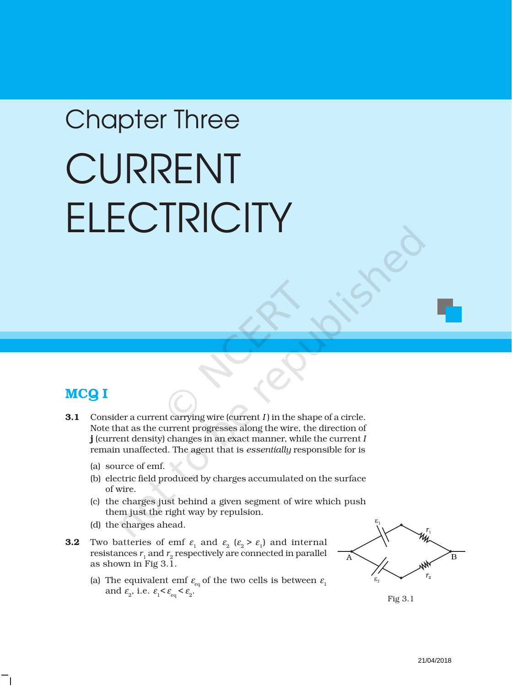# Chapter Three CURRENT **ELECTRICITY**

# MCQ I

- **3.1** Consider a current carrying wire (current *I*) in the shape of a circle. Note that as the current progresses along the wire, the direction of j (current density) changes in an exact manner, while the current *I* remain unaffected. The agent that is *essentially* responsible for is
	- (a) source of emf.
	- (b) electric field produced by charges accumulated on the surface of wire.
	- (c) the charges just behind a given segment of wire which push them just the right way by repulsion.
	- (d) the charges ahead.
- **3.2** Two batteries of emf  $\varepsilon_1$  and  $\varepsilon_2$  ( $\varepsilon_2 > \varepsilon_1$ ) and internal resistances  $r_1$  and  $r_2$  respectively are connected in parallel as shown in Fig 3.1.
	- (a) The equivalent emf  $\varepsilon_{eq}$  of the two cells is between  $\varepsilon_1$ and  $\varepsilon_2$ , i.e.  $\varepsilon_1 < \varepsilon_{\rm eq} < \varepsilon_2$ .



Fig 3.1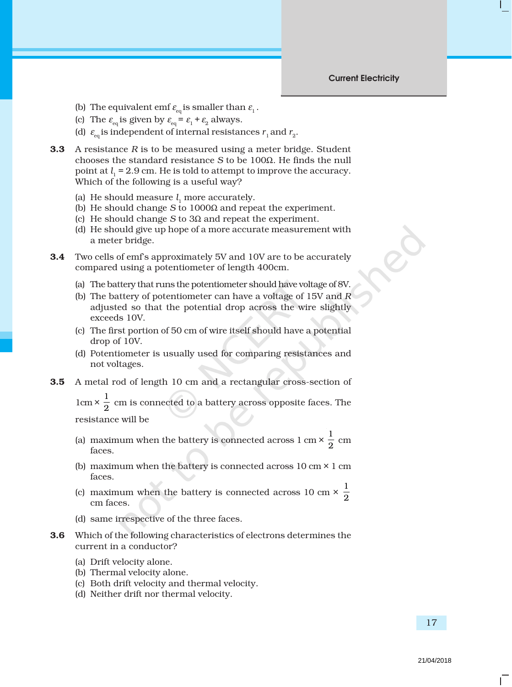- (b) The equivalent emf  $\varepsilon_{eq}$  is smaller than  $\varepsilon_1$ .
- (c) The  $\varepsilon_{\text{eq}}$  is given by  $\varepsilon_{\text{eq}} = \varepsilon_1 + \varepsilon_2$  always.
- (d)  $\epsilon_{\rm eq}$  is independent of internal resistances  $r_{\rm _1}$  and  $r_{\rm _2}.$
- **3.3** A resistance *R* is to be measured using a meter bridge. Student chooses the standard resistance *S* to be 100Ω. He finds the null point at  $l_1$  = 2.9 cm. He is told to attempt to improve the accuracy. Which of the following is a useful way?
	- (a) He should measure  $l_1$  more accurately.
	- (b) He should change *S* to 1000Ω and repeat the experiment.
	- (c) He should change *S* to 3Ω and repeat the experiment.
	- (d) He should give up hope of a more accurate measurement with a meter bridge.
- 3.4 Two cells of emf's approximately 5V and 10V are to be accurately compared using a potentiometer of length 400cm.
	- (a) The battery that runs the potentiometer should have voltage of 8V.
	- (b) The battery of potentiometer can have a voltage of 15V and *R* adjusted so that the potential drop across the wire slightly exceeds 10V.
	- (c) The first portion of 50 cm of wire itself should have a potential drop of 10V.
	- (d) Potentiometer is usually used for comparing resistances and not voltages.
- 3.5 A metal rod of length 10 cm and a rectangular cross-section of

 $1 \text{cm} \times \frac{1}{2}$  cm is connected to a battery across opposite faces. The resistance will be

- (a) maximum when the battery is connected across  $1 \text{ cm} \times \frac{1}{2} \text{ cm}$ faces.
- (b) maximum when the battery is connected across  $10 \text{ cm} \times 1 \text{ cm}$ faces.
- (c) maximum when the battery is connected across 10 cm  $\times$   $\frac{1}{2}$ 2 cm faces.
- (d) same irrespective of the three faces.
- 3.6 Which of the following characteristics of electrons determines the current in a conductor?
	- (a) Drift velocity alone.
	- (b) Thermal velocity alone.
	- (c) Both drift velocity and thermal velocity.
	- (d) Neither drift nor thermal velocity.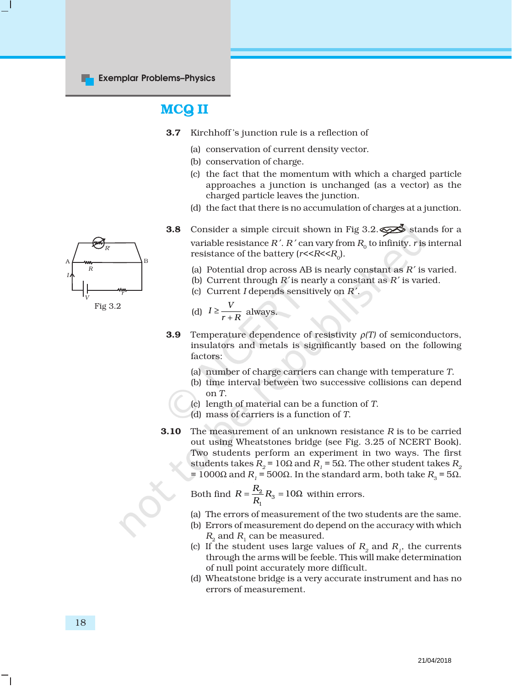# MCQ II

- 3.7 Kirchhoff 's junction rule is a reflection of
	- (a) conservation of current density vector.
	- (b) conservation of charge.
	- (c) the fact that the momentum with which a charged particle approaches a junction is unchanged (as a vector) as the charged particle leaves the junction.
	- (d) the fact that there is no accumulation of charges at a junction.
- **3.8** Consider a simple circuit shown in Fig 3.2.  $\leq \leq \leq$  stands for a variable resistance  $R'$ .  $R'$  can vary from  $R_0$  to infinity. *r* is internal resistance of the battery ( $r < R < R_0$ ).
	- (a) Potential drop across AB is nearly constant as *R* ′ is varied.
	- (b) Current through *R*′ is nearly a constant as *R* ′ is varied.
	- (c) Current *I* depends sensitively on *R* ′.

(d) 
$$
I \ge \frac{V}{r+R}
$$
 always.

- 3.9 Temperature dependence of resistivity ρ*(T)* of semiconductors, insulators and metals is significantly based on the following factors:
	- (a) number of charge carriers can change with temperature *T*.
	- (b) time interval between two successive collisions can depend on *T*.
	- (c) length of material can be a function of *T*.
	- (d) mass of carriers is a function of *T*.
- 3.10 The measurement of an unknown resistance *R* is to be carried out using Wheatstones bridge (see Fig. 3.25 of NCERT Book). Two students perform an experiment in two ways. The first students takes  $R_2$  = 10Ω and  $R_1$  = 5Ω. The other student takes  $R_2$ = 1000Ω and *R<sub>1</sub>* = 500Ω. In the standard arm, both take *R<sub>3</sub>* = 5Ω.

Both find 
$$
R = \frac{R_2}{R_1} R_3 = 10\Omega
$$
 within errors.

- (a) The errors of measurement of the two students are the same.
- (b) Errors of measurement do depend on the accuracy with which  $R_2$  and  $R_1$  can be measured.
- (c) If the student uses large values of  $R_2$  and  $R_1$ , the currents through the arms will be feeble. This will make determination of null point accurately more difficult.
- (d) Wheatstone bridge is a very accurate instrument and has no errors of measurement.

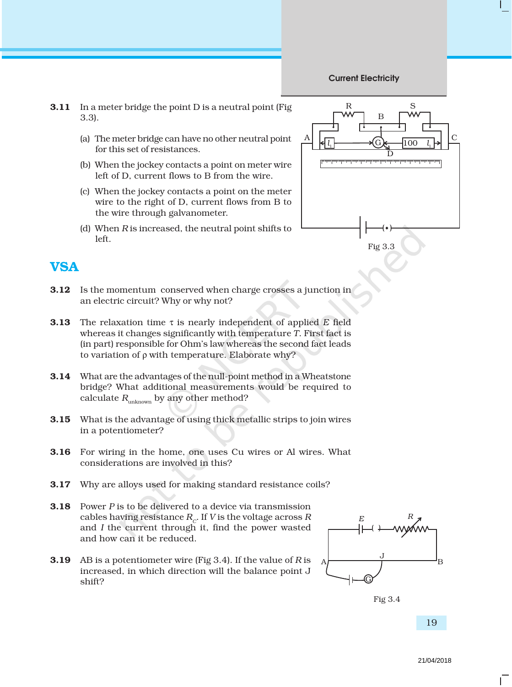#### Current Electricity

- **3.11** In a meter bridge the point D is a neutral point (Fig. 3.3).
	- (a) The meter bridge can have no other neutral point for this set of resistances.
	- (b) When the jockey contacts a point on meter wire left of D, current flows to B from the wire.
	- (c) When the jockey contacts a point on the meter wire to the right of D, current flows from B to the wire through galvanometer.
	- (d) When *R* is increased, the neutral point shifts to left.



### **VSA**

- **3.12** Is the momentum conserved when charge crosses a junction in an electric circuit? Why or why not?
- 3.13 The relaxation time τ is nearly independent of applied *E* field whereas it changes significantly with temperature *T*. First fact is (in part) responsible for Ohm's law whereas the second fact leads to variation of ρ with temperature. Elaborate why?
- **3.14** What are the advantages of the null-point method in a Wheatstone bridge? What additional measurements would be required to calculate  $R_{\text{unknown}}$  by any other method?
- 3.15 What is the advantage of using thick metallic strips to join wires in a potentiometer?
- 3.16 For wiring in the home, one uses Cu wires or Al wires. What considerations are involved in this?
- **3.17** Why are alloys used for making standard resistance coils?
- 3.18 Power *P* is to be delivered to a device via transmission cables having resistance  $R_c$ . If *V* is the voltage across *R* and *I* the current through it, find the power wasted and how can it be reduced.
- 3.19 AB is a potentiometer wire (Fig 3.4). If the value of *R* is increased, in which direction will the balance point J shift?



Fig 3.4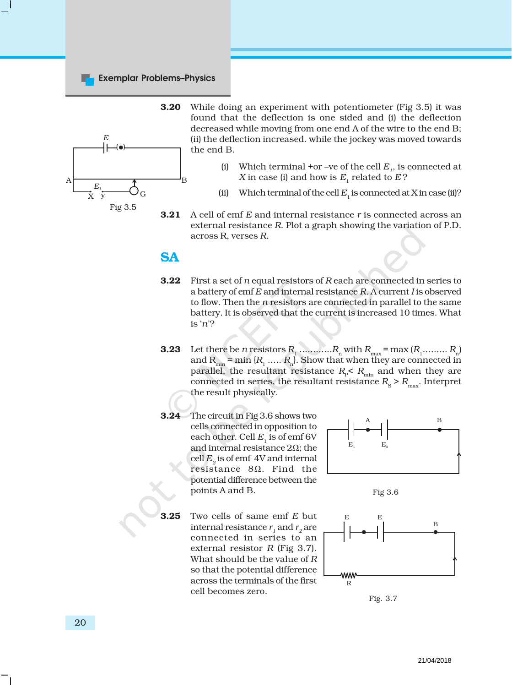#### Exemplar Problems–Physics



**3.20** While doing an experiment with potentiometer (Fig 3.5) it was found that the deflection is one sided and (i) the deflection decreased while moving from one end A of the wire to the end B; (ii) the deflection increased. while the jockey was moved towards the end B.

- (i) Which terminal +or –ve of the cell  $E_i$ , is connected at *X* in case (i) and how is  $E_1$  related to  $E$ ?
- (ii) Which terminal of the cell  $E_1$  is connected at X in case (ii)?
- **3.21** A cell of emf *E* and internal resistance *r* is connected across an external resistance *R*. Plot a graph showing the variation of P.D. across R, verses *R*.

## SA

- 3.22 First a set of *n* equal resistors of *R* each are connected in series to a battery of emf *E* and internal resistance *R*. A current *I* is observed to flow. Then the *n* resistors are connected in parallel to the same battery. It is observed that the current is increased 10 times. What is '*n*'?
- 3.23 Let there be *n* resistors *R*1 ............*R*<sup>n</sup> with *R*max = max (*R*1......... *R*n) and  $\rm R_{min}$  = min { $\rm R_{1}$  .....  $\rm R_{n}$ }. Show that when they are connected in parallel, the resultant resistance  $R_\text{p}$ <  $R_\text{min}$  and when they are connected in series, the resultant resistance  $R_s > R_{\text{max}}$ . Interpret the result physically.
- 3.24 The circuit in Fig 3.6 shows two cells connected in opposition to each other. Cell  $E<sub>1</sub>$  is of emf 6V and internal resistance 2Ω; the cell  $E<sub>2</sub>$  is of emf 4V and internal resistance 8Ω. Find the potential difference between the points A and B.

3.25 Two cells of same emf *E* but internal resistance  $r_1$  and  $r_2$  are connected in series to an external resistor *R* (Fig 3.7). What should be the value of *R* so that the potential difference across the terminals of the first cell becomes zero.



Fig 3.6



Fig. 3.7